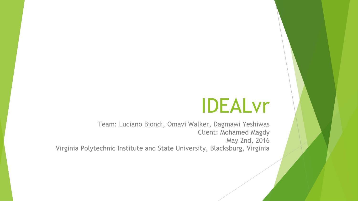# IDEALvr

Team: Luciano Biondi, Omavi Walker, Dagmawi Yeshiwas Client: Mohamed Magdy May 2nd, 2016 Virginia Polytechnic Institute and State University, Blacksburg, Virginia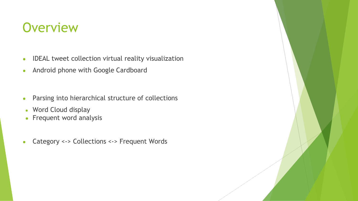# **Overview**

- IDEAL tweet collection virtual reality visualization
- Android phone with Google Cardboard
- Parsing into hierarchical structure of collections
- Word Cloud display
- $\bullet$  Frequent word analysis
- Category <-> Collections <-> Frequent Words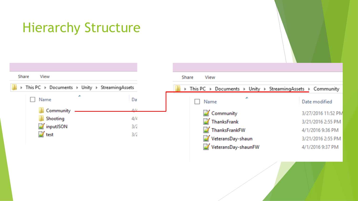# Hierarchy Structure



| Share View                                                  |                    |
|-------------------------------------------------------------|--------------------|
| > This PC > Documents > Unity > StreamingAssets > Community |                    |
| Name                                                        | Date modified      |
| Community                                                   | 3/27/2016 11:52 PM |
| ThanksFrank                                                 | 3/21/2016 2:55 PM  |
| ThanksFrankFW                                               | 4/1/2016 9:36 PM   |
| VeteransDay-shaun                                           | 3/21/2016 2:55 PM  |
| VeteransDay-shaunFW                                         | 4/1/2016 9:37 PM   |
|                                                             |                    |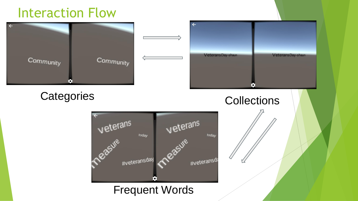### Interaction Flow

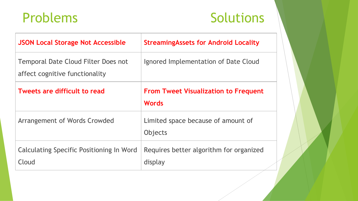# Problems Solutions

| <b>JSON Local Storage Not Accessible</b>                              | <b>StreamingAssets for Android Locality</b>                 |
|-----------------------------------------------------------------------|-------------------------------------------------------------|
| Temporal Date Cloud Filter Does not<br>affect cognitive functionality | Ignored Implementation of Date Cloud                        |
| Tweets are difficult to read                                          | <b>From Tweet Visualization to Frequent</b><br><b>Words</b> |
| Arrangement of Words Crowded                                          | Limited space because of amount of<br>Objects               |
| Calculating Specific Positioning In Word<br>Cloud                     | Requires better algorithm for organized<br>display          |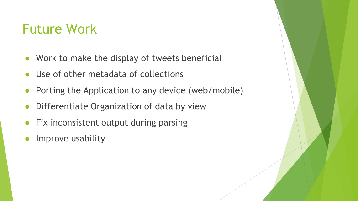#### Future Work

- Work to make the display of tweets beneficial
- Use of other metadata of collections
- Porting the Application to any device (web/mobile)
- Differentiate Organization of data by view
- Fix inconsistent output during parsing
- Improve usability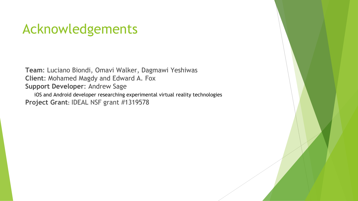### Acknowledgements

**Team**: Luciano Biondi, Omavi Walker, Dagmawi Yeshiwas **Client**: Mohamed Magdy and Edward A. Fox **Support Developer**: Andrew Sage

iOS and Android developer researching experimental virtual reality technologies **Project Grant**: IDEAL NSF grant #1319578